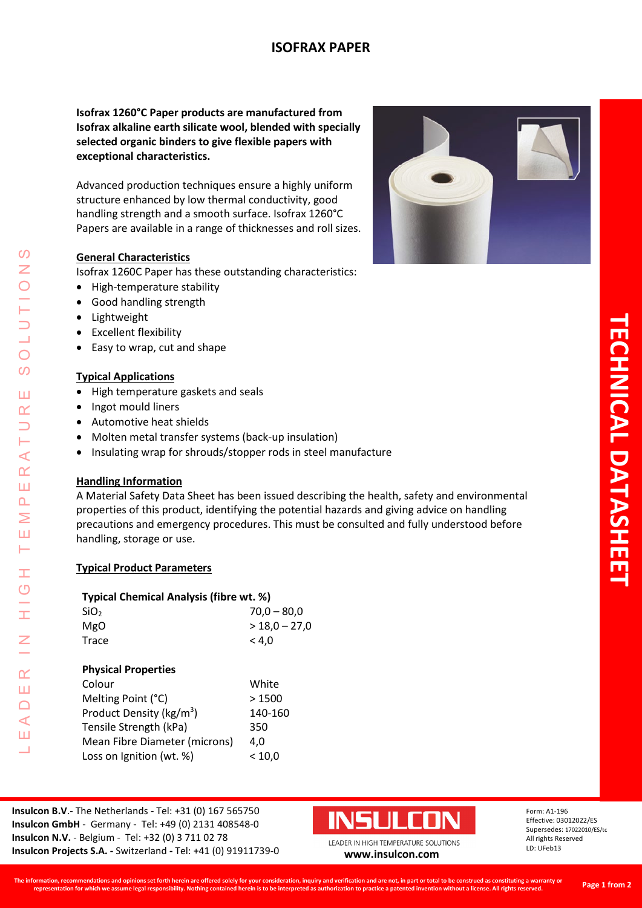# **ISOFRAX PAPER**

**Isofrax 1260°C Paper products are manufactured from Isofrax alkaline earth silicate wool, blended with specially selected organic binders to give flexible papers with exceptional characteristics.**

Advanced production techniques ensure a highly uniform structure enhanced by low thermal conductivity, good handling strength and a smooth surface. Isofrax 1260°C Papers are available in a range of thicknesses and roll sizes.

#### **General Characteristics**

Isofrax 1260C Paper has these outstanding characteristics:

- High-temperature stability
- Good handling strength
- Lightweight
- Excellent flexibility
- Easy to wrap, cut and shape

#### **Typical Applications**

- High temperature gaskets and seals
- Ingot mould liners
- Automotive heat shields
- Molten metal transfer systems (back-up insulation)
- Insulating wrap for shrouds/stopper rods in steel manufacture

# **Handling Information**

A Material Safety Data Sheet has been issued describing the health, safety and environmental properties of this product, identifying the potential hazards and giving advice on handling precautions and emergency procedures. This must be consulted and fully understood before handling, storage or use.

#### **Typical Product Parameters**

| Typical Chemical Analysis (fibre wt. %) |                 |  |  |  |
|-----------------------------------------|-----------------|--|--|--|
| SiO <sub>2</sub>                        | $70,0 - 80,0$   |  |  |  |
| MgO                                     | $>$ 18,0 - 27,0 |  |  |  |
| Trace                                   | < 4.0           |  |  |  |
|                                         |                 |  |  |  |
| <b>Physical Properties</b>              |                 |  |  |  |
| Colour                                  | White           |  |  |  |
| Melting Point (°C)                      | >1500           |  |  |  |
| Product Density (kg/m <sup>3</sup> )    | 140-160         |  |  |  |
| Tensile Strength (kPa)                  | 350             |  |  |  |
| Mean Fibre Diameter (microns)           | 4.0             |  |  |  |
| Loss on Ignition (wt. %)                | $<$ 10.0 $\,$   |  |  |  |
|                                         |                 |  |  |  |

**Insulcon B.V**.- The Netherlands - Tel: +31 (0) 167 565750 **Insulcon GmbH** - Germany - Tel: +49 (0) 2131 408548-0 **Insulcon N.V.** - Belgium - Tel: +32 (0) 3 711 02 78 **Insulcon Projects S.A. -** Switzerland **-** Tel: +41 (0) 91911739-0 **[www.insulcon.com](http://www.insulcon.com/)**



Form: A1-196 Effective: 03012022/ES Supersedes: 17022010/ES/tc All rights Reserved LD: UFeb13



 $\Omega$ Z